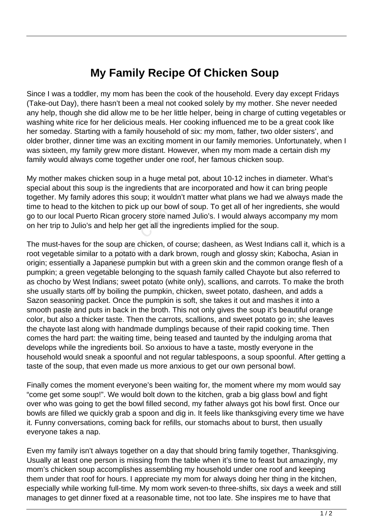## **My Family Recipe Of Chicken Soup**

Since I was a toddler, my mom has been the cook of the household. Every day except Fridays (Take-out Day), there hasn't been a meal not cooked solely by my mother. She never needed any help, though she did allow me to be her little helper, being in charge of cutting vegetables or washing white rice for her delicious meals. Her cooking influenced me to be a great cook like her someday. Starting with a family household of six: my mom, father, two older sisters', and older brother, dinner time was an exciting moment in our family memories. Unfortunately, when I was sixteen, my family grew more distant. However, when my mom made a certain dish my family would always come together under one roof, her famous chicken soup.

My mother makes chicken soup in a huge metal pot, about 10-12 inches in diameter. What's special about this soup is the ingredients that are incorporated and how it can bring people together. My family adores this soup; it wouldn't matter what plans we had we always made the time to head to the kitchen to pick up our bowl of soup. To get all of her ingredients, she would go to our local Puerto Rican grocery store named Julio's. I would always accompany my mom on her trip to Julio's and help her get all the ingredients implied for the soup.

The must-haves for the soup are chicken, of course; dasheen, as West Indians call it, which is a root vegetable similar to a potato with a dark brown, rough and glossy skin; Kabocha, Asian in origin; essentially a Japanese pumpkin but with a green skin and the common orange flesh of a pumpkin; a green vegetable belonging to the squash family called Chayote but also referred to as chocho by West Indians; sweet potato (white only), scallions, and carrots. To make the broth she usually starts off by boiling the pumpkin, chicken, sweet potato, dasheen, and adds a Sazon seasoning packet. Once the pumpkin is soft, she takes it out and mashes it into a smooth paste and puts in back in the broth. This not only gives the soup it's beautiful orange color, but also a thicker taste. Then the carrots, scallions, and sweet potato go in; she leaves the chayote last along with handmade dumplings because of their rapid cooking time. Then comes the hard part: the waiting time, being teased and taunted by the indulging aroma that develops while the ingredients boil. So anxious to have a taste, mostly everyone in the household would sneak a spoonful and not regular tablespoons, a soup spoonful. After getting a taste of the soup, that even made us more anxious to get our own personal bowl. bocal Puerto Rican grocery store has<br>to Julio's and help her get all the i<br>haves for the soup are chicken, of<br>able similar to a potato with a dark<br>entially a Japanese pumpkin but v<br>a green vegetable belonging to the<br>by Wes

Finally comes the moment everyone's been waiting for, the moment where my mom would say "come get some soup!". We would bolt down to the kitchen, grab a big glass bowl and fight over who was going to get the bowl filled second, my father always got his bowl first. Once our bowls are filled we quickly grab a spoon and dig in. It feels like thanksgiving every time we have it. Funny conversations, coming back for refills, our stomachs about to burst, then usually everyone takes a nap.

Even my family isn't always together on a day that should bring family together, Thanksgiving. Usually at least one person is missing from the table when it's time to feast but amazingly, my mom's chicken soup accomplishes assembling my household under one roof and keeping them under that roof for hours. I appreciate my mom for always doing her thing in the kitchen, especially while working full-time. My mom work seven-to three-shifts, six days a week and still manages to get dinner fixed at a reasonable time, not too late. She inspires me to have that